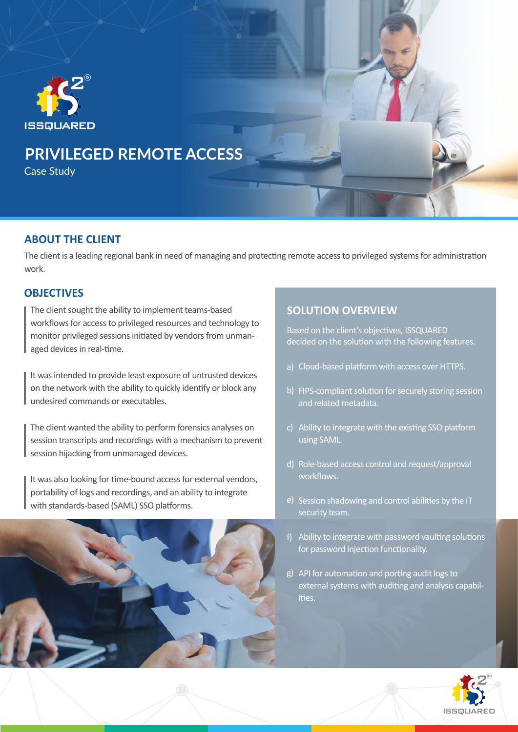

### **ABOUT THE CLIENT**

The client is a leading regional bank in need of managing and protecting remote access to privileged systems for administration work.

### **OBJECTIVES**

The client sought the ability to implement teams-based workflows for access to privileged resources and technology to monitor privileged sessions initiated by vendors from unmanaged devices in real-time.

It was intended to provide least exposure of untrusted devices on the network with the ability to quickly identify or block any undesired commands or executables.

The client wanted the ability to perform forensics analyses on session transcripts and recordings with a mechanism to prevent session hijacking from unmanaged devices.

It was also looking for time-bound access for external vendors, portability of logs and recordings, and an ability to integrate with standards-based (SAML) SSO platforms.



## **SOLUTION OVERVIEW**

Based on the client's objectives, ISSQUARED decided on the solution with the following features.

- a) Cloud-based platform with access over HTTPS.
- b) FIPS-compliant solution for securely storing session and related metadata.
- c) Ability to integrate with the existing SSO platform using SAML.
- d) Role-based access control and request/approval workflows.
- e) Session shadowing and control abilities by the IT security team.
- f) Ability to integrate with password vaulting solutions for password injection functionality.
- g) API for automation and porting audit logs to external systems with auditing and analysis capabilities.